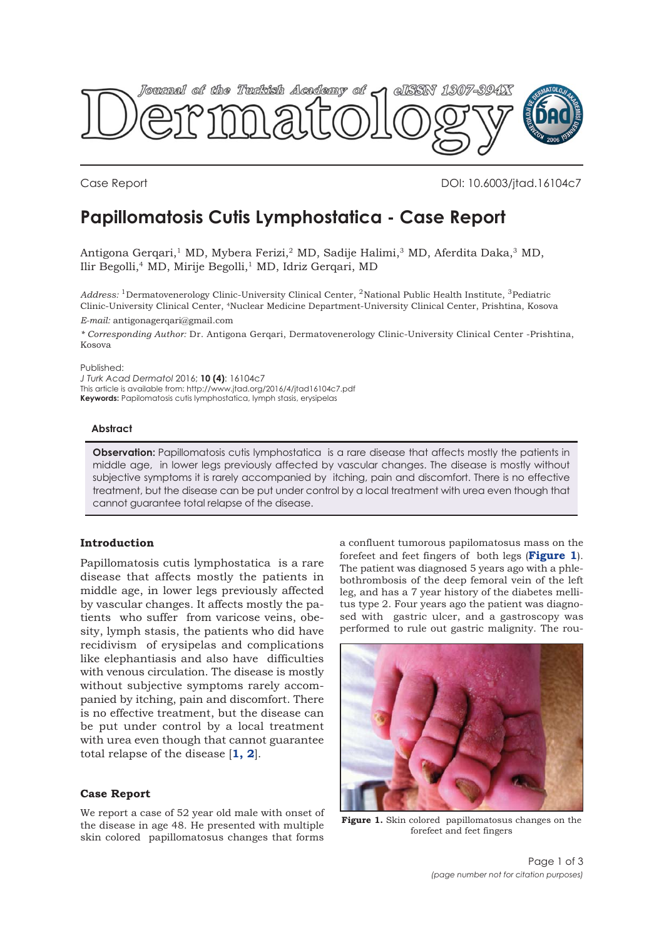

Case Report DOI: 10.6003/jtad.16104c7

# **Papillomatosis Cutis Lymphostatica - Case Report**

Antigona Gerqari,<sup>1</sup> MD, Mybera Ferizi,<sup>2</sup> MD, Sadije Halimi,<sup>3</sup> MD, Aferdita Daka,<sup>3</sup> MD, Ilir Begolli,<sup>4</sup> MD, Mirije Begolli,<sup>1</sup> MD, Idriz Gerqari, MD

*Address:* 1Dermatovenerology Clinic-University Clinical Center, 2National Public Health Institute, 3Pediatric Clinic-University Clinical Center, 4Nuclear Medicine Department-University Clinical Center, Prishtina, Kosova *E-mail:* antigonagerqari@gmail.com

*\* Corresponding Author:* Dr. Antigona Gerqari, Dermatovenerology Clinic-University Clinical Center -Prishtina, Kosova

#### Published:

*J Turk Acad Dermatol* 2016; **10 (4)**: 16104c7 This article is available from: http://www.jtad.org/2016/4/jtad16104c7.pdf **Keywords:** Papilomatosis cutis lymphostatica, lymph stasis, erysipelas

### **Abstract**

**Observation:** Papillomatosis cutis lymphostatica is a rare disease that affects mostly the patients in middle age, in lower legs previously affected by vascular changes. The disease is mostly without subjective symptoms it is rarely accompanied by itching, pain and discomfort. There is no effective treatment, but the disease can be put under control by a local treatment with urea even though that cannot guarantee total relapse of the disease.

## **Introduction**

Papillomatosis cutis lymphostatica is a rare disease that affects mostly the patients in middle age, in lower legs previously affected by vascular changes. It affects mostly the patients who suffer from varicose veins, obesity, lymph stasis, the patients who did have recidivism of erysipelas and complications like elephantiasis and also have difficulties with venous circulation. The disease is mostly without subjective symptoms rarely accompanied by itching, pain and discomfort. There is no effective treatment, but the disease can be put under control by a local treatment with urea even though that cannot guarantee total relapse of the disease [**[1,](#page-1-0) [2](#page-1-0)**].

**Case Report**

We report a case of 52 year old male with onset of the disease in age 48. He presented with multiple skin colored papillomatosus changes that forms

a confluent tumorous papilomatosus mass on the forefeet and feet fingers of both legs (**Figure 1**). The patient was diagnosed 5 years ago with a phlebothrombosis of the deep femoral vein of the left leg, and has a 7 year history of the diabetes mellitus type 2. Four years ago the patient was diagnosed with gastric ulcer, and a gastroscopy was performed to rule out gastric malignity. The rou-



**Figure 1.** Skin colored papillomatosus changes on the forefeet and feet fingers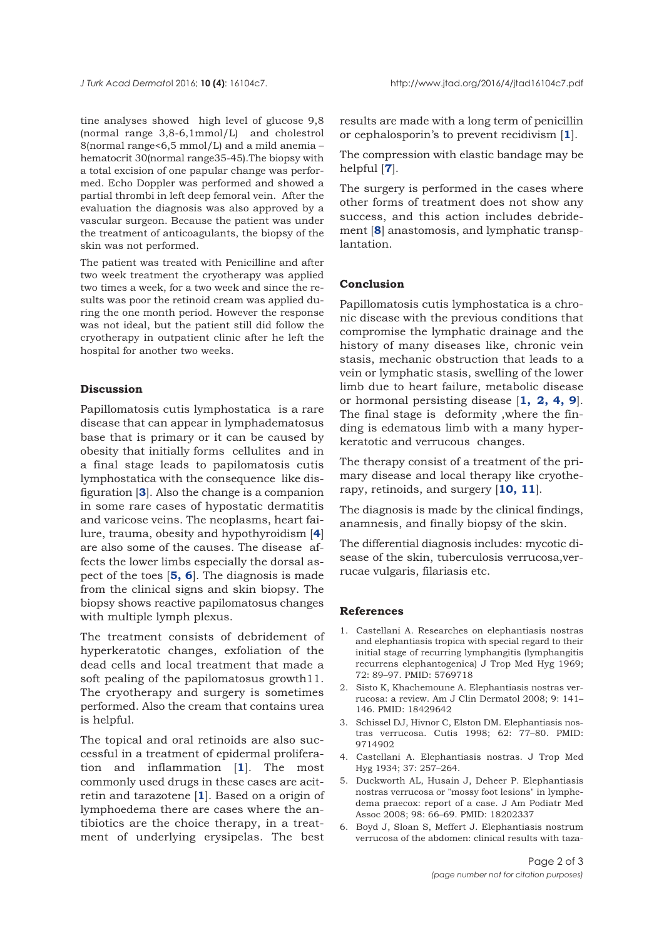<span id="page-1-0"></span>tine analyses showed high level of glucose 9,8 (normal range 3,8-6,1mmol/L) and cholestrol 8(normal range<6,5 mmol/L) and a mild anemia – hematocrit 30(normal range35-45).The biopsy with a total excision of one papular change was performed. Echo Doppler was performed and showed a partial thrombi in left deep femoral vein. After the evaluation the diagnosis was also approved by a vascular surgeon. Because the patient was under the treatment of anticoagulants, the biopsy of the skin was not performed.

The patient was treated with Penicilline and after two week treatment the cryotherapy was applied two times a week, for a two week and since the results was poor the retinoid cream was applied during the one month period. However the response was not ideal, but the patient still did follow the cryotherapy in outpatient clinic after he left the hospital for another two weeks.

## **Discussion**

Papillomatosis cutis lymphostatica is a rare disease that can appear in lymphadematosus base that is primary or it can be caused by obesity that initially forms cellulites and in a final stage leads to papilomatosis cutis lymphostatica with the consequence like disfiguration [**3**]. Also the change is a companion in some rare cases of hypostatic dermatitis and varicose veins. The neoplasms, heart failure, trauma, obesity and hypothyroidism [**4**] are also some of the causes. The disease affects the lower limbs especially the dorsal aspect of the toes [**5, 6**]. The diagnosis is made from the clinical signs and skin biopsy. The biopsy shows reactive papilomatosus changes with multiple lymph plexus.

The treatment consists of debridement of hyperkeratotic changes, exfoliation of the dead cells and local treatment that made a soft pealing of the papilomatosus growth11. The cryotherapy and surgery is sometimes performed. Also the cream that contains urea is helpful.

The topical and oral retinoids are also successful in a treatment of epidermal proliferation and inflammation [**1**]. The most commonly used drugs in these cases are acitretin and tarazotene [**1**]. Based on a origin of lymphoedema there are cases where the antibiotics are the choice therapy, in a treatment of underlying erysipelas. The best

results are made with a long term of penicillin or cephalosporin's to prevent recidivism [**1**].

The compression with elastic bandage may be helpful [**[7](#page-2-0)**].

The surgery is performed in the cases where other forms of treatment does not show any success, and this action includes debridement [**[8](#page-2-0)**] anastomosis, and lymphatic transplantation.

### **Conclusion**

Papillomatosis cutis lymphostatica is a chronic disease with the previous conditions that compromise the lymphatic drainage and the history of many diseases like, chronic vein stasis, mechanic obstruction that leads to a vein or lymphatic stasis, swelling of the lower limb due to heart failure, metabolic disease or hormonal persisting disease [**1, 2, 4, [9](#page-2-0)**]. The final stage is deformity ,where the finding is edematous limb with a many hyperkeratotic and verrucous changes.

The therapy consist of a treatment of the primary disease and local therapy like cryotherapy, retinoids, and surgery [**[10, 11](#page-2-0)**].

The diagnosis is made by the clinical findings, anamnesis, and finally biopsy of the skin.

The differential diagnosis includes: mycotic disease of the skin, tuberculosis verrucosa,verrucae vulgaris, filariasis etc.

## **References**

- 1. Castellani A. Researches on elephantiasis nostras and elephantiasis tropica with special regard to their initial stage of recurring lymphangitis (lymphangitis recurrens elephantogenica) J Trop Med Hyg 1969; 72: 89–97. PMID: 5769718
- 2. Sisto K, Khachemoune A. Elephantiasis nostras verrucosa: a review. Am J Clin Dermatol 2008; 9: 141– 146. PMID: 18429642
- 3. Schissel DJ, Hivnor C, Elston DM. Elephantiasis nostras verrucosa. Cutis 1998; 62: 77–80. PMID: 9714902
- 4. Castellani A. Elephantiasis nostras. J Trop Med Hyg 1934; 37: 257–264.
- 5. Duckworth AL, Husain J, Deheer P. Elephantiasis nostras verrucosa or "mossy foot lesions" in lymphedema praecox: report of a case. J Am Podiatr Med Assoc 2008; 98: 66–69. PMID: 18202337
- 6. Boyd J, Sloan S, Meffert J. Elephantiasis nostrum verrucosa of the abdomen: clinical results with taza-